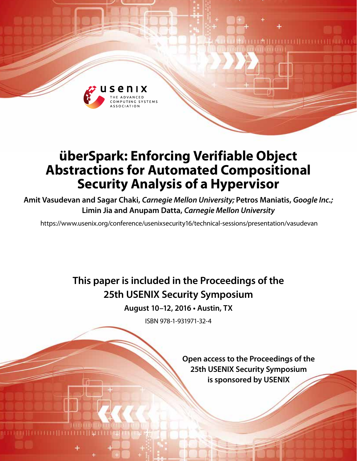

# **überSpark: Enforcing Verifiable Object Abstractions for Automated Compositional Security Analysis of a Hypervisor**

**Amit Vasudevan and Sagar Chaki,** *Carnegie Mellon University;* **Petros Maniatis,** *Google Inc.;* **Limin Jia and Anupam Datta,** *Carnegie Mellon University*

https://www.usenix.org/conference/usenixsecurity16/technical-sessions/presentation/vasudevan

**This paper is included in the Proceedings of the 25th USENIX Security Symposium**

**August 10–12, 2016 • Austin, TX**

ISBN 978-1-931971-32-4

**Open access to the Proceedings of the 25th USENIX Security Symposium is sponsored by USENIX** 

LĦ II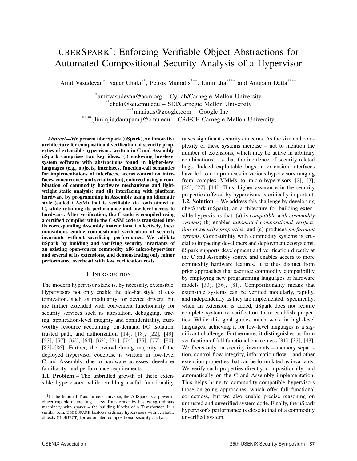# ÜBERSPARK† : Enforcing Verifiable Object Abstractions for Automated Compositional Security Analysis of a Hypervisor

Amit Vasudevan<sup>\*</sup>, Sagar Chaki<sup>\*\*</sup>, Petros Maniatis<sup>\*\*\*</sup>, Limin Jia<sup>\*\*\*\*</sup> and Anupam Datta<sup>\*\*\*\*</sup>

\*amitvasudevan@acm.org – CyLab/Carnegie Mellon University \*\*chaki@sei.cmu.edu – SEI/Carnegie Mellon University

\*\*\*maniatis@google.com – Google Inc.

\*\*\*\*{liminjia,danupam}@cmu.edu – CS/ECE Carnegie Mellon University

*Abstract*—We present überSpark (üSpark), an innovative architecture for compositional verification of security properties of extensible hypervisors written in C and Assembly. üSpark comprises two key ideas: (i) endowing low-level system software with abstractions found in higher-level languages (e.g., objects, interfaces, function-call semantics for implementations of interfaces, access control on interfaces, concurrency and serialization), enforced using a combination of commodity hardware mechanisms and lightweight static analysis; and (ii) interfacing with platform hardware by programming in Assembly using an idiomatic style (called CASM) that is verifiable via tools aimed at C, while retaining its performance and low-level access to hardware. After verification, the C code is compiled using a certified compiler while the CASM code is translated into its corresponding Assembly instructions. Collectively, these innovations enable compositional verification of security invariants without sacrificing performance. We validate üSpark by building and verifying security invariants of an existing open-source commodity x86 micro-hypervisor and several of its extensions, and demonstrating only minor performance overhead with low verification costs.

#### 1. INTRODUCTION

The modern hypervisor stack is, by necessity, extensible. Hypervisors not only enable the old-hat style of customization, such as modularity for device drivers, but are further extended with convenient functionality for security services such as attestation, debugging, tracing, application-level integrity and confidentiality, trustworthy resource accounting, on-demand I/O isolation, trusted path, and authorization [14], [18], [22], [49], [53], [57], [62], [64], [65], [71], [74], [75], [77], [80], [83]–[86]. Further, the overwhelming majority of the deployed hypervisor codebase is written in low-level C and Assembly, due to hardware accesses, developer familiarity, and performance requirements.

1.1. Problem – The unbridled growth of these extensible hypervisors, while enabling useful functionality, raises significant security concerns. As the size and complexity of these systems increase – not to mention the number of extensions, which may be active in arbitrary combinations – so has the incidence of security-related bugs. Indeed exploitable bugs in extension interfaces have led to compromises in various hypervisors ranging from complex VMMs to micro-hypervisors [2], [3], [26], [27], [44]. Thus, higher assurance in the security properties offered by hypervisors is critically important. 1.2. Solution – We address this challenge by developing überSpark (üSpark), an architecture for building extensible hypervisors that: (a) is *compatible with commodity systems*; (b) enables *automated compositional verification of security properties*; and (c) produces *performant systems*. Compatibility with commodity systems is crucial to impacting developers and deployment ecosystems. üSpark supports development and verification directly at the C and Assembly source and enables access to more commodity hardware features. It is thus distinct from prior approaches that sacrifice commodity compatibility by employing new programming languages or hardware models [33], [36], [81]. Compositionality means that extensible systems can be verified modularly, rapidly, and independently as they are implemented. Specifically, when an extension is added, üSpark does not require complete system re-verification to re-establish properties. While this goal guides much work in high-level languages, achieving it for low-level languages is a significant challenge. Furthermore, it distinguishes us from verification of full functional correctness [31], [33], [43]. We focus only on security invariants – memory separation, control-flow integrity, information flow – and other extension properties that can be formulated as invariants. We verify such properties directly, compositionally, and automatically on the C and Assembly implementation. This helps bring to commodity-compatible hypervisors those on-going approaches, which offer full functional correctness, but we also enable precise reasoning on untrusted and unverified system code. Finally, the üSpark hypervisor's performance is close to that of a commodity unverified system.

<sup>†</sup>In the fictional Transformers universe, the AllSpark is a powerful object capable of creating a new Transformer by bestowing ordinary machinery with sparks – the building blocks of a Transformer. In a similar vein, ÜBERSPARK bestows ordinary hypervisors with verifiable objects (ÜOBJECT) for automated compositional security analysis.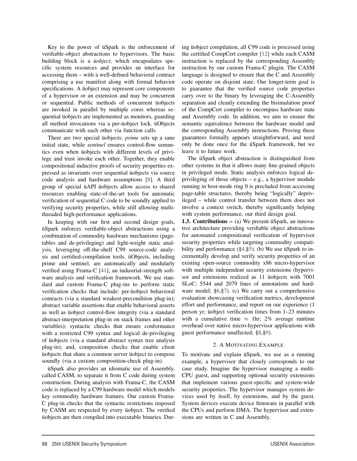Key to the power of üSpark is the enforcement of verifiable-object abstractions to hypervisors. The basic building block is a *üobject*, which encapsulates specific system resources and provides an interface for accessing them – with a well-defined behavioral contract comprising a use manifest along with formal behavior specifications. A üobject may represent core components of a hypervisor or an extension and may be concurrent or sequential. Public methods of concurrent üobjects are invoked in parallel by multiple cores whereas sequential üobjects are implemented as monitors, guarding all method invocations via a per-üobject lock. üObjects communicate with each other via function calls.

There are two special üobjects: *prime* sets up a sane initial state, while *sentinel* ensures control-flow semantics even when üobjects with different levels of privilege and trust invoke each other. Together, they enable compositional inductive proofs of security properties expressed as invariants over sequential üobjects via source code analysis and hardware assumptions [8]. A third group of special üAPI üobjects allow access to shared resources enabling state-of-the-art tools for automatic verification of sequential C code to be soundly applied to verifying security properties, while still allowing multithreaded high-performance applications.

In keeping with our first and second design goals, üSpark enforces verifiable-object abstractions using a combination of commodity hardware mechanisms (pagetables and de-privileging) and light-weight static analysis, leveraging off-the-shelf C99 source-code analysis and certified-compilation tools. üObjects, including prime and sentinel, are automatically and modularly verified using Frama-C [41], an industrial-strength software analysis and verification framework. We use standard and custom Frama-C plug-ins to perform static verification checks that include: per-üobject behavioral contracts (via a standard weakest-precondition plug-in); abstract variable assertions that enable behavioral asserts as well as üobject control-flow integrity (via a standard abstract-interpretation plug-in on stack frames and other variables); syntactic checks that ensure conformance with a restricted C99 syntax and logical de-privileging of üobjects (via a standard abstract syntax tree analysis plug-in); and, composition checks that enable client üobjects that share a common server üobject to compose soundly (via a custom composition-check plug-in).

üSpark also provides an idiomatic use of Assembly, called CASM, to separate it from C code during system construction. During analysis with Frama-C, the CASM code is replaced by a C99 hardware model which models key commodity hardware features. Our custom Frama-C plug-in checks that the syntactic restrictions imposed by CASM are respected by every üobject. The verified üobjects are then compiled into executable binaries. During üobject compilation, all C99 code is processed using the certified CompCert compiler [12] while each CASM instruction is replaced by the corresponding Assembly instruction by our custom Frama-C plugin. The CASM language is designed to ensure that the C and Assembly code operate on disjoint state. Our longer-term goal is to guarantee that the verified source code properties carry over to the binary by leveraging the C-Assembly separation and cleanly extending the bisimulation proof of the CompCert compiler to encompass hardware state and Assembly code. In addition, we aim to ensure the semantic equivalence between the hardware model and the corresponding Assembly instructions. Proving these guarantees formally appears straightforward, and need only be done once for the üSpark framework, but we leave it to future work.

The üSpark object abstraction is distinguished from other systems in that it allows many fine-grained objects in privileged mode. Static analysis enforces logical deprivileging of those objects – e.g., a hypervisor module running in host-mode ring 0 is precluded from accessing page-table structures, thereby being "logically" deprivileged – while control transfer between them does not involve a context switch, thereby significantly helping with system performance, our third design goal.

1.3. Contributions – (a) We present üSpark, an innovative architecture providing verifiable object abstractions for automated compositional verification of hypervisor security properties while targeting commodity compatibility and performance (§4,§5). (b) We use üSpark to incrementally develop and verify security properties of an existing open-source commodity x86 micro-hypervisor with multiple independent security extensions (hypervisor and extensions realized as 11 üobjects with 7001 SLoC; 5544 and 2079 lines of annotations and hardware model; §6,§7). (c) We carry out a comprehensive evaluation showcasing verification metrics, development effort and performance, and report on our experience (1 person yr; üobject verification times from 1–23 minutes with a cumulative time  $\approx$  1hr; 2% average runtime overhead over native micro-hypervisor applications with guest performance unaffected; §8,§9).

# 2. A MOTIVATING EXAMPLE

To motivate and explain üSpark, we use as a running example, a hypervisor that closely corresponds to our case study. Imagine the hypervisor managing a multi-CPU guest, and supporting optional security extensions that implement various guest-specific and system-wide security properties. The hypervisor manages system devices used by itself, by extensions, and by the guest. System devices execute device firmware in parallel with the CPUs and perform DMA. The hypervisor and extensions are written in C and Assembly.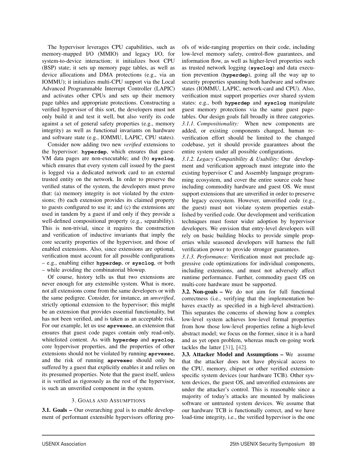The hypervisor leverages CPU capabilities, such as memory-mapped I/O (MMIO) and legacy I/O, for system-to-device interaction; it initializes boot CPU (BSP) state; it sets up memory page tables, as well as device allocations and DMA protections (e.g., via an IOMMU); it initializes multi-CPU support via the Local Advanced Programmable Interrupt Controller (LAPIC) and activates other CPUs and sets up their memory page tables and appropriate protections. Constructing a verified hypervisor of this sort, the developers must not only build it and test it well, but also verify its code against a set of general safety properties (e.g., memory integrity) as well as functional invariants on hardware and software state (e.g., IOMMU, LAPIC, CPU states).

Consider now adding two new *verified* extensions to the hypervisor: **hyperdep**, which ensures that guest-VM data pages are non-executable; and (b) **sysclog**, which ensures that every system call issued by the guest is logged via a dedicated network card to an external trusted entity on the network. In order to preserve the verified status of the system, the developers must prove that: (a) memory integrity is not violated by the extensions; (b) each extension provides its claimed property to guests configured to use it; and (c) the extensions are used in tandem by a guest if and only if they provide a well-defined compositional property (e.g., separability). This is non-trivial, since it requires the construction and verification of inductive invariants that imply the core security properties of the hypervisor, and those of enabled extensions. Also, since extensions are optional, verification must account for all possible configurations – e.g., enabling either **hyperdep**, or **sysclog**, or both – while avoiding the combinatorial blowup.

Of course, history tells us that two extensions are never enough for any extensible system. What is more, not all extensions come from the same developers or with the same pedigree. Consider, for instance, an *unverified*, strictly optional extension to the hypervisor; this might be an extension that provides essential functionality, but has not been verified, and is taken as an acceptable risk. For our example, let us use **aprvexec**, an extension that ensures that guest code pages contain only read-only, whitelisted content. As with **hyperdep** and **sysclog**, core hypervisor properties, and the properties of other extensions should not be violated by running **aprvexec**, and the risk of running **aprvexec** should only be suffered by a guest that explicitly enables it and relies on its presumed properties. Note that the guest itself, unless it is verified as rigorously as the rest of the hypervisor, is such an unverified component in the system.

# 3. GOALS AND ASSUMPTIONS

3.1. Goals – Our overarching goal is to enable development of performant extensible hypervisors offering proofs of wide-ranging properties on their code, including low-level memory safety, control-flow guarantees, and information flow, as well as higher-level properties such as trusted network logging (**sysclog**) and data execution prevention (**hyperdep**), going all the way up to security properties spanning both hardware and software states (IOMMU, LAPIC, network-card and CPU). Also, verification must support properties over shared system states: e.g., both **hyperdep** and **sysclog** manipulate guest memory protections via the same guest pagetables. Our design goals fall broadly in three categories. *3.1.1. Compositionality:* When new components are added, or existing components changed, human reverification effort should be limited to the changed codebase, yet it should provide guarantees about the entire system under all possible configurations.

*3.1.2. Legacy Compatibility & Usability:* Our development and verification approach must integrate into the existing hypervisor C and Assembly language programming ecosystem, and cover the entire source code base including commodity hardware and guest OS. We must support extensions that are unverified in order to preserve the legacy ecosystem. However, unverified code (e.g., the guest) must not violate system properties established by verified code. Our development and verification techniques must foster wider adoption by hypervisor developers. We envision that entry-level developers will rely on basic building blocks to provide simple properties while seasoned developers will harness the full verification power to provide stronger guarantees.

*3.1.3. Performance:* Verification must not preclude aggressive code optimizations for individual components, including extensions, and must not adversely affect runtime performance. Further, commodity guest OS on multi-core hardware must be supported.

3.2. Non-goals – We do not aim for full functional correctness (i.e., verifying that the implementation behaves exactly as specified in a high-level abstraction). This separates the concerns of showing how a complex low-level system achieves low-level formal properties from how those low-level properties refine a high-level abstract model; we focus on the former, since it is a hard and as yet open problem, whereas much on-going work tackles the latter [31], [42].

3.3. Attacker Model and Assumptions – We assume that the attacker does not have physical access to the CPU, memory, chipset or other verified extensionspecific system devices (our hardware TCB). Other system devices, the guest OS, and unverified extensions are under the attacker's control. This is reasonable since a majority of today's attacks are mounted by malicious software or untrusted system devices. We assume that our hardware TCB is functionally correct, and we have load-time integrity, i.e., the verified hypervisor is the one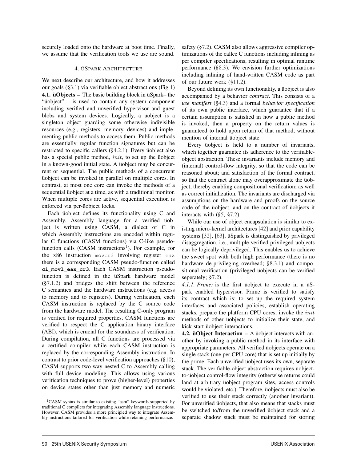securely loaded onto the hardware at boot time. Finally, we assume that the verification tools we use are sound.

#### 4. ÜSPARK ARCHITECTURE

We next describe our architecture, and how it addresses our goals (§3.1) via verifiable object abstractions (Fig 1) 4.1. üObjects – The basic building block in üSpark– the "üobject" – is used to contain any system component including verified and unverified hypervisor and guest blobs and system devices. Logically, a üobject is a singleton object guarding some otherwise indivisible resources (e.g., registers, memory, devices) and implementing public methods to access them. Public methods are essentially regular function signatures but can be restricted to specific callers (§4.2.1). Every üobject also has a special public method, *init*, to set up the üobject in a known-good initial state. A üobject may be concurrent or sequential. The public methods of a concurrent üobject can be invoked in parallel on multiple cores. In contrast, at most one core can invoke the methods of a sequential üobject at a time, as with a traditional monitor. When multiple cores are active, sequential execution is enforced via per-üobject locks.

Each üobject defines its functionality using C and Assembly. Assembly language for a verified üobject is written using CASM, a dialect of C in which Assembly instructions are encoded within regular C functions (CASM functions) via C-like pseudofunction calls  $(CASM$  instructions<sup>1</sup>). For example, for the x86 instruction movcr3 involving register eax there is a corresponding CASM pseudo-function called **ci\_movl\_eax\_cr3**. Each CASM instruction pseudofunction is defined in the üSpark hardware model (§7.1.2) and bridges the shift between the reference C semantics and the hardware instructions (e.g. access to memory and to registers). During verification, each CASM instruction is replaced by the C source code from the hardware model. The resulting C-only program is verified for required properties. CASM functions are verified to respect the C application binary interface (ABI), which is crucial for the soundness of verification. During compilation, all C functions are processed via a certified compiler while each CASM instruction is replaced by the corresponding Assembly instruction. In contrast to prior code-level verification approaches (§10), CASM supports two-way nested C to Assembly calling with full device modeling. This allows using various verification techniques to prove (higher-level) properties on device states other than just memory and numeric

safety (§7.2). CASM also allows aggressive compiler optimizations of the callee C functions including inlining as per compiler specifications, resulting in optimal runtime performance (§8.3). We envision further optimizations including inlining of hand-written CASM code as part of our future work (§11.2).

Beyond defining its own functionality, a üobject is also accompanied by a behavior *contract*. This consists of a *use manifest* (§4.3) and a formal *behavior specification* of its own public interface, which guarantee that if a certain assumption is satisfied in how a public method is invoked, then a property on the return values is guaranteed to hold upon return of that method, without mention of internal üobject state.

Every üobject is held to a number of invariants, which together guarantee its adherence to the verifiableobject abstraction. These invariants include memory and (internal) control-flow integrity, so that the code can be reasoned about; and satisfaction of the formal contract, so that the contract alone may overapproximate the üobject, thereby enabling compositional verification; as well as correct initialization. The invariants are discharged via assumptions on the hardware and proofs on the source code of the üobject, and on the contract of üobjects it interacts with (§5, §7.2).

While our use of object encapsulation is similar to existing micro-kernel architectures [42] and prior capability systems [32], [63], üSpark is distinguished by privileged disaggregation, i.e., multiple verified privileged üobjects can be logically deprivileged. This enables us to achieve the sweet spot with both high performance (there is no hardware de-privileging overhead; §8.3.1) and compositional verification (privileged üobjects can be verified seperately; §7.2).

*4.1.1. Prime:* is the first üobject to execute in a üSpark enabled hypervisor. Prime is verified to satisfy its contract which is: to set up the required system interfaces and associated policies, establish operating stacks, prepare the platform CPU cores, invoke the init methods of other üobjects to initialize their state, and kick-start üobject interactions.

4.2. üObject Interaction – A üobject interacts with another by invoking a public method in its interface with appropriate parameters. All verified üobjects operate on a single stack (one per CPU core) that is set up initially by the prime. Each unverified üobject uses its own, separate stack. The verifiable-object abstraction requires üobjectto-üobject control-flow integrity (otherwise returns could land at arbitrary üobject program sites, access controls would be violated, etc.). Therefore, üobjects must also be verified to use their stack correctly (another invariant). For unverified üobjects, that also means that stacks must be switched to/from the unverified üobject stack and a separate shadow stack must be maintained for storing

<sup>1</sup>CASM syntax is similar to existing "asm" keywords supported by traditional C compilers for integrating Assembly language instructions. However, CASM provides a more principled way to integrate Assembly instructions tailored for verification while retaining performance.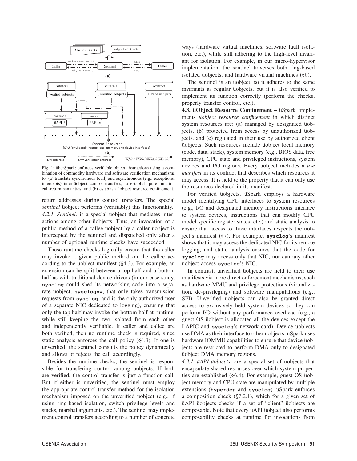

Fig. 1: überSpark: enforces verifiable object abstractions using a combination of commodity hardware and software verification mechanisms to: (a) translate synchronous (call) and asynchronous (e.g., exceptions, intercepts) inter-üobject control transfers, to establish pure function call-return semantics; and (b) establish üobject resource confinement.

return addresses during control transfers. The special *sentinel* üobject performs (verifiably) this functionality. *4.2.1. Sentinel:* is a special üobject that mediates interactions among other üobjects. Thus, an invocation of a public method of a callee üobject by a caller üobject is intercepted by the sentinel and dispatched only after a number of optional runtime checks have succeeded.

These runtime checks logically ensure that the caller may invoke a given public method on the callee according to the üobject manifest (§4.3). For example, an extension can be split between a top half and a bottom half as with traditional device drivers (in our case study, **sysclog** could shed its networking code into a separate üobject, **sysclognw**, that only takes transmission requests from **sysclog**, and is the only authorized user of a separate NIC dedicated to logging), ensuring that only the top half may invoke the bottom half at runtime, while still keeping the two isolated from each other and independently verifiable. If caller and callee are both verified, then no runtime check is required, since static analysis enforces the call policy (§4.3). If one is unverified, the sentinel consults the policy dynamically and allows or rejects the call accordingly.

Besides the runtime checks, the sentinel is responsible for transfering control among üobjects. If both are verified, the control transfer is just a function call. But if either is unverified, the sentinel must employ the appropriate control-transfer method for the isolation mechanism imposed on the unverified üobject (e.g., if using ring-based isolation, switch privilege levels and stacks, marshal arguments, etc.). The sentinel may implement control transfers according to a number of concrete

ways (hardware virtual machines, software fault isolation, etc.), while still adhering to the high-level invariant for isolation. For example, in our micro-hypervisor implementation, the sentinel traverses both ring-based isolated üobjects, and hardware virtual machines (§6).

The sentinel is an üobject, so it adheres to the same invariants as regular üobjects, but it is also verified to implement its function correctly (perform the checks, properly transfer control, etc.).

4.3. üObject Resource Confinement – üSpark implements *üobject resource confinement* in which distinct system resources are: (a) managed by designated üobjects, (b) protected from access by unauthorized üobjects, and (c) regulated in their use by authorized client üobjects. Such resources include üobject local memory (code, data, stack), system memory (e.g., BIOS data, free memory), CPU state and privileged instructions, system devices and I/O regions. Every üobject includes a *use manifest* in its contract that describes which resources it may access. It is held to the property that it can only use the resources declared in its manifest.

For verified üobjects, üSpark employs a hardware model identifying CPU interfaces to system resources (e.g., I/O and designated memory instructions interface to system devices, instructions that can modify CPU model specific register states, etc.) and static analysis to ensure that access to those interfaces respects the üobject's manifest (§7). For example, **sysclog**'s manifest shows that it may access the dedicated NIC for its remote logging, and static analysis ensures that the code for **sysclog** may access only that NIC, nor can any other üobject access **sysclog**'s NIC.

In contrast, unverified üobjects are held to their use manifests via more direct enforcement mechanisms, such as hardware MMU and privilege protections (virtualization, de-privileging) and software manipulations (e.g., SFI). Unverified üobjects can also be granted direct access to exclusively held system devices so they can perform I/O without any performance overhead (e.g., a guest OS üobject is allocated all the devices except the LAPIC and **sysclog**'s network card). Device üobjects use DMA as their interface to other üobjects. üSpark uses hardware IOMMU capabilities to ensure that device üobjects are restricted to perform DMA only to designated üobject DMA memory regions.

*4.3.1. üAPI üobjects:* are a special set of üobjects that encapsulate shared resources over which system properties are established (§6.4). For example, guest OS üobject memory and CPU state are manipulated by multiple extensions (**hyperdep** and **sysclog**). üSpark enforces a composition check (§7.2.1), which for a given set of üAPI üobjects checks if a set of "client" üobjects are composable. Note that every üAPI üobject also performs composability checks at runtime for invocations from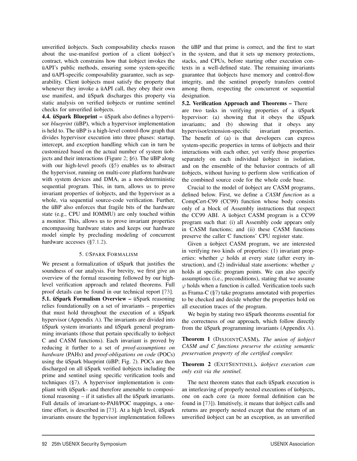unverified üobjects. Such composability checks reason about the use-manifest portion of a client üobject's contract, which constrains how that üobject invokes the üAPI's public methods, ensuring some system-specific and üAPI-specific composability guarantee, such as separability. Client üobjects must satisfy the property that whenever they invoke a üAPI call, they obey their own use manifest, and üSpark discharges this property via static analysis on verified üobjects or runtime sentinel checks for unverified üobjects.

4.4. üSpark Blueprint – üSpark also defines a hypervisor *blueprint* (üBP), which a hypervisor implementation is held to. The üBP is a high-level control-flow graph that divides hypervisor execution into three phases: startup, intercept, and exception handling which can in turn be customized based on the actual number of system üobjects and their interactions (Figure 2; §6). The üBP along with our high-level proofs (§5) enables us to abstract the hypervisor, running on multi-core platform hardware with system devices and DMA, as a non-deterministic sequential program. This, in turn, allows us to prove invariant properties of üobjects, and the hypervisor as a whole, via sequential source-code verification. Further, the üBP also enforces that fragile bits of the hardware state (e.g., CPU and IOMMU) are only touched within a monitor. This, allows us to prove invariant properties encompassing hardware states and keeps our hardware model simple by precluding modeling of concurrent hardware accesses (§7.1.2).

# 5. ÜSPARK FORMALISM

We present a formalization of üSpark that justifies the soundness of our analysis. For brevity, we first give an overview of the formal reasoning followed by our highlevel verification approach and related theorems. Full proof details can be found in our technical report [73]. 5.1. üSpark Formalism Overview – üSpark reasoning relies foundationally on a set of invariants – properties that must hold throughout the execution of a üSpark hypervisor (Appendix A). The invariants are divided into üSpark system invariants and üSpark general programming invariants (those that pertain specifically to üobject C and CASM functions). Each invariant is proved by reducing it further to a set of *proof-assumptions on hardware* (PAHs) and *proof-obligations on code* (POCs) using the üSpark blueprint (üBP; Fig. 2). POCs are then discharged on all üSpark verified üobjects including the prime and sentinel using specific verification tools and techniques (§7). A hypervisor implementation is compliant with üSpark– and therefore amenable to compositional reasoning – if it satisfies all the üSpark invariants. Full details of invariant-to-PAH/POC mappings, a onetime effort, is described in [73]. At a high level, üSpark invariants ensure the hypervisor implementation follows the üBP and that prime is correct, and the first to start in the system, and that it sets up memory protections, stacks, and CPUs, before starting other execution contexts in a well-defined state. The remaining invariants guarantee that üobjects have memory and control-flow integrity, and the sentinel properly transfers control among them, respecting the concurrent or sequential designation.

5.2. Verification Approach and Theorems – There are two tasks in verifying properties of a üSpark hypervisor: (a) showing that it obeys the üSpark invariants; and (b) showing that it obeys any hypervisor/extension-specific invariant properties. The benefit of (a) is that developers can express system-specific properties in terms of üobjects and their interactions with each other, yet verify those properties separately on each individual üobject in isolation, and on the ensemble of the behavior contracts of all üobjects, without having to perform slow verification of the combined source code for the whole code base.

Crucial to the model of üobject are CASM programs, defined below. First, we define a *CASM function* as a CompCert-C99 (CC99) function whose body consists only of a block of Assembly instructions that respect the CC99 ABI. A üobject CASM program is a CC99 program such that: (i) all Assembly code appears only in CASM functions; and (ii) these CASM functions preserve the caller C functions' CPU register state.

Given a üobject CASM program, we are interested in verifying two kinds of properties: (1) invariant properties: whether  $\varphi$  holds at every state (after every instruction), and (2) individual state assertions: whether  $\varphi$ holds at specific program points. We can also specify assumptions (i.e., preconditions), stating that we assume  $\varphi$  holds when a function is called. Verification tools such as Frama-C (§7) take programs annotated with properties to be checked and decide whether the properties hold on all execution traces of the program.

We begin by stating two üSpark theorems essential for the correctness of our approach, which follow directly from the üSpark programming invariants (Appendix A).

Theorem 1 (DISJOINTCASM). *The union of üobject CASM and C functions preserve the existing semantic preservation property of the certified compiler.*

Theorem 2 (EXITSENTINEL). *üobject execution can only exit via the sentinel.*

The next theorem states that each üSpark execution is an interleaving of properly nested executions of üobjects, one on each core (a more formal definition can be found in [73]). Intuitively, it means that üobject calls and returns are properly nested except that the return of an unverified üobject can be an exception, as an unverified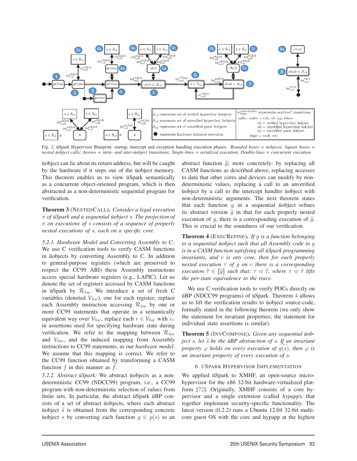

Fig. 2: üSpark Hypervisor Blueprint: startup, intercept and exception handling execution phases. *Rounded boxes = üobjects; Square boxes = nested üobject calls; Arrows = intra- and inter-üobject transitions; Single-lines = serialized execution; Double-lines = concurrent execution.*

üobject can lie about its return address, but will be caught by the hardware if it steps out of the üobject memory. This theorem enables us to view üSpark semantically as a concurrent object-oriented program, which is then abstracted as a non-deterministic sequential program for verification.

Theorem 3 (NESTEDCALL). *Consider a legal execution* π *of üSpark and a sequential üobject* s*. The projection of* π *on executions of* s *consists of a sequence of properly nested executions of* s*, each on a specific core.*

*5.2.1. Hardware Model and Converting Assembly to C:* We use C verification tools to verify CASM functions in üobjects by converting Assembly to C. In addition to general-purpose registers (which are preserved to respect the CC99 ABI) these Assembly instructions access special hardware registers (e.g., LAPIC). Let us denote the set of registers accessed by CASM functions in üSpark by  $\mathcal{R}_{hw}$ . We introduce a set of fresh C variables (denoted  $V_{hw}$ ), one for each register; replace each Assembly instruction accessing  $\mathcal{R}_{hw}$  by one or more CC99 statements that operate in a semantically equivalent way over  $\mathcal{V}_{hw}$ ; replace each  $r \in \mathcal{V}_{hw}$  with  $v_r$ in assertions used for specifying hardware state during verification. We refer to the mapping between  $\mathcal{R}_{hw}$ and  $V_{hw}$ , and the induced mapping from Assembly instructions to CC99 statements, as our *hardware model*. We assume that this mapping is correct. We refer to the CC99 function obtained by transforming a CASM function  $f$  in this manner as  $f$ .

*5.2.2. Abstract üSpark:* We abstract üobjects as a nondeterministic CC99 (NDCC99) program, i.e., a CC99 program with non-deterministic selection of values from finite sets. In particular, the abstract üSpark üBP consists of a set of abstract üobjects, where each abstract üobject  $\tilde{s}$  is obtained from the corresponding concrete üobject s by converting each function  $g \in p(s)$  to an abstract function  $\tilde{g}$ ; more concretely: by replacing all CASM functions as described above, replacing accesses to data that other cores and devices can modify by nondeterministic values, replacing a call to an unverified üobject by a call to the intercept handler üobject with non-deterministic arguments. The next theorem states that each function  $g$  in a sequential üobject refines its abstract version  $\tilde{q}$  in that for each properly nested execution of g, there is a corresponding execution of  $\tilde{g}$ . This is crucial to the soundness of our verification.

Theorem 4 (EXECREFINE). *If* g *is a function belonging to a sequential üobject such that all Assembly code in* g *is in a CASM function satisfying all üSpark programming invariants, and* c *is any core, then for each properly nested execution* τ *of* g *on* c *there is a corresponding execution*  $\tilde{\tau} \in [\tilde{g}]$  *such that:*  $\tau \equiv \tilde{\tau}$ *, where*  $\tau \equiv \tilde{\tau}$  *lifts the per-state equivalence to the trace.*

We use C verification tools to verify POCs directly on üBP (NDCC99 programs) of üSpark. Theorem 4 allows us to lift the verification results to üobject source-code, formally stated in the following theorem (we only show the statement for invariant properties; the statement for individual state assertions is similar).

Theorem 5 (INVCOMPOSE). *Given any sequential üobject s, let*  $\tilde{s}$  *be the üBP abstraction of s. If an invariant property*  $\varphi$  *holds on every execution of g*(*s*)*, then*  $\varphi$  *is an invariant property of every execution of* s*.*

# 6. ÜSPARK HYPERVISOR IMPLEMENTATION

We applied üSpark to XMHF, an open-source microhypervisor for the x86 32-bit hardware-virtualized platform [72]. Originally, XMHF consists of a core hypervisor and a single extension (called *hypapp*), that together implement security-specific functionality. The latest version (0.2.2) runs a Ubuntu 12.04 32-bit multicore guest OS with the core and hypapp at the highest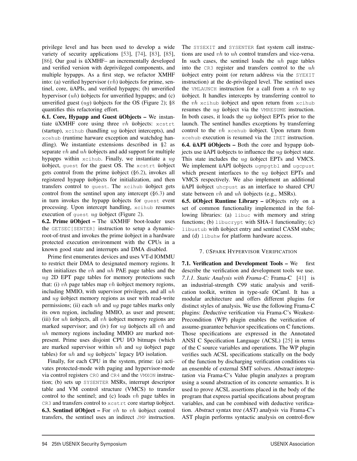privilege level and has been used to develop a wide variety of security applications [53], [74], [83], [85], [86]. Our goal is üXMHF– an incrementally developed and verified version with deprivileged components, and multiple hypapps. As a first step, we refactor XMHF into: (a) verified hypervisor  $(vh)$  üobjects for prime, sentinel, core, üAPIs, and verified hypapps; (b) unverified hypervisor (uh) üobjects for unverified hypapps; and (c) unverified guest  $(ug)$  üobjects for the OS (Figure 2); §8 quantifies this refactoring effort.

6.1. Core, Hypapp and Guest üObjects – We instantiate üXMHF core using three  $vh$  üobjects:  $x$ cstrt (startup), xcihub (handling ug üobject intercepts), and xcehub (runtime harware exception and watchdog handling). We instantiate extensions described in §2 as separate *vh* and *uh* üobjects and add support for multiple hypapps within  $x$ cihub. Finally, we instantiate a  $ug$ üobject, guest for the guest OS. The xcstrt üobject gets control from the prime üobject (§6.2), invokes all registered hypapp üobjects for initialization, and then transfers control to guest. The xcihub üobject gets control from the sentinel upon any intercept (§6.3) and in turn invokes the hypapp üobjects for guest event processing. Upon intercept handling, xcihub resumes execution of guest  $ug$  üobject (Figure 2).

6.2. Prime üObject – The üXMHF boot-loader uses the GETSEC[SENTER] instruction to setup a dynamicroot-of-trust and invokes the prime üobject in a hardware protected execution environment with the CPUs in a known good state and interrupts and DMA disabled.

Prime first enumerates devices and uses VT-d IOMMU to restrict their DMA to designated memory regions. It then initializes the  $vh$  and  $uh$  PAE page tables and the ug 2D EPT page tables for memory protections such that: (i)  $vh$  page tables map  $vh$  üobject memory regions, including MMIO, with supervisor privileges, and all  $uh$ and ug üobject memory regions as user with read-write permissions; (ii) each  $uh$  and  $ug$  page tables marks only its own region, including MMIO, as user and present; (iii) for  $uh$  üobjects, all  $vh$  üobject memory regions are marked supervisor; and (iv) for  $ug$  üobjects all  $vh$  and uh memory regions including MMIO are marked notpresent. Prime uses disjoint CPU I/O bitmaps (which are marked supervisor within uh and ug üobject page tables) for uh and ug üobjects' legacy I/O isolation.

Finally, for each CPU in the system, prime: (a) activates protected-mode with paging and hypervisor-mode via control registers CR0 and CR4 and the VMXON instruction; (b) sets up SYSENTER MSRs, interrupt descriptor table and VM control structure (VMCS) to transfer control to the sentinel; and (c) loads  $vh$  page tables in CR3 and transfers control to xcstrt core startup üobject. **6.3. Sentinel üObject –** For  $vh$  to  $vh$  üobject control transfers, the sentinel uses an indirect JMP instruction. The SYSEXIT and SYSENTER fast system call instructions are used vh to uh control transfers and vice-versa. In such cases, the sentinel loads the  $uh$  page tables into the  $CR3$  register and transfers control to the  $uh$ üobject entry point (or return address via the SYEXIT instruction) at the de-privileged level. The sentinel uses the VMLAUNCH instruction for a call from a  $vh$  to  $ug$ üobject. It handles intercepts by transferring control to the  $vh$  xcihub üobject and upon return from xcihub resumes the  $ug$  üobject via the VMRESUME instruction. In both cases, it loads the  $uq$  üobject EPTs prior to the launch. The sentinel handles exceptions by transferring control to the  $vh$  xcehub üobject. Upon return from xcehub execution is resumed via the IRET instruction. 6.4. üAPI üObjects – Both the core and hypapp üobjects use üAPI üobjects to influence the  $uq$  üobject state. This state includes the ug üobject EPTs and VMCS. We implement üAPI üobjects ugmpgtbl and ugcpust which present interfaces to the  $ug$  üobject EPTs and VMCS respectively. We also implement an additional üAPI üobject uhcpust as an interface to shared CPU state between  $vh$  and  $uh$  üobjects (e.g., MSRs).

6.5. üObject Runtime Library – üObjects rely on a set of common functionality implemented in the following libraries: (a) libuc with memory and string functions; (b) libucrypt with SHA-1 functionality; (c) libustub with üobject entry and sentinel CASM stubs; and (d) libuhw for platform hardware access.

# 7. ÜSPARK HYPERVISOR VERIFICATION

7.1. Verification and Development Tools - We first describe the verification and development tools we use. *7.1.1. Static Analysis with Frama-C:* Frama-C [41] is an industrial-strength C99 static analysis and verification toolkit, written in type-safe OCaml. It has a modular architecture and offers different plugins for distinct styles of analysis. We use the following Frama-C plugins: *Deductive verification* via Frama-C's Weakest-Precondition (WP) plugin enables the verification of assume-guarantee behavior specifications on C functions. Those specifications are expressed in the Annotated ANSI C Specification Language (ACSL) [25] in terms of the C source variables and operations. The WP plugin verifies such ACSL specifications statically on the body of the function by discharging verification conditions via an ensemble of external SMT solvers. *Abstract interpretation* via Frama-C's Value plugin analyzes a program using a sound abstraction of its concrete semantics. It is used to prove ACSL assertions placed in the body of the program that express partial specifications about program variables, and can be combined with deductive verification. *Abstract syntax tree (AST) analysis* via Frama-C's AST plugin performs syntactic analysis on control-flow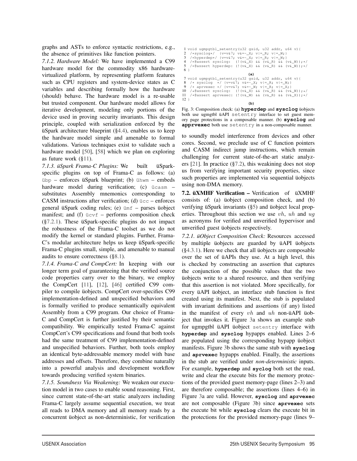graphs and ASTs to enforce syntactic restrictions, e.g., the absence of primitives like function pointers.

*7.1.2. Hardware Model:* We have implemented a C99 hardware model for the commodity x86 hardwarevirtualized platform, by representing platform features such as CPU registers and system-device states as C variables and describing formally how the hardware (should) behave. The hardware model is a re-usable but trusted component. Our hardware model allows for iterative development, modeling only portions of the device used in proving security invariants. This design principle, coupled with serialization enforced by the üSpark architecture blueprint (§4.4), enables us to keep the hardware model simple and amenable to formal validations. Various techniques exist to validate such a hardware model [50], [58] which we plan on exploring as future work (§11).

*7.1.3. üSpark Frama-C Plugins:* We built üSparkspecific plugins on top of Frama-C as follows: (a) übp – enforces üSpark blueprint; (b) ühwm – embeds hardware model during verification; (c) ücasm – substitutes Assembly mnemonics corresponding to CASM instructions after verification; (d) ücc – enforces general üSpark coding rules; (e) ümf – parses üobject manifest; and (f)  $\ddot{u}cvf$  – performs composition check  $(\S7.2.1)$ . These üSpark-specific plugins do not impact the robustness of the Frama-C toolset as we do not modify the kernel or standard plugins. Further, Frama-C's modular architecture helps us keep üSpark-specific Frama-C plugins small, simple, and amenable to manual audits to ensure correctness (§8.1).

*7.1.4. Frama-C and CompCert:* In keeping with our longer term goal of guaranteeing that the verified source code properties carry over to the binary, we employ the CompCert [11], [12], [46] certified C99 compiler to compile üobjects. CompCert over-specifies C99 implementation-defined and unspecified behaviors and is formally verified to produce semantically equivalent Assembly from a C99 program. Our choice of Frama-C and CompCert is further justified by their semantic compatibility. We empirically tested Frama-C against CompCert's C99 specifications and found that both tools had the same treatment of C99 implementation-defined and unspecified behaviors. Further, both tools employ an identical byte-addressable memory model with base addresses and offsets. Therefore, they combine naturally into a powerful analysis and development workflow towards producing verified system binaries.

*7.1.5. Soundness Via Weakening:* We weaken our execution model in two cases to enable sound reasoning. First, since current state-of-the-art static analyzers including Frama-C largely assume sequential execution, we treat all reads to DMA memory and all memory reads by a concurrent üobject as non-deterministic, for verification



**(b)**

Fig. 3: Composition check: (a) **hyperdep** and **sysclog** üobjects both use ugmgtbl üAPI setentry interface to set guest memory page protections in a composable manner. (b) **sysclog** and **apprvexec** both use setentry in a non-composable manner.

to soundly model interference from devices and other cores. Second, we preclude use of C function pointers and CASM indirect jump instructions, which remain challenging for current state-of-the-art static analyzers  $[21]$ . In practice  $(\S7.2)$ , this weakining does not stop us from verifying important security properties, since such properties are implemented via sequential üobjects using non-DMA memory.

7.2. üXMHF Verification – Verification of üXMHF consists of: (a) üobject composition check, and (b) verifying üSpark invariants (§5) and üobject local properties. Throughout this section we use  $vh$ ,  $uh$  and  $ug$ as acronyms for verified and unverified hypervisor and unverified guest üobjects respectively.

*7.2.1. üObject Composition Check:* Resources accessed by multiple üobjects are guarded by üAPI üobjects (§4.3.1). Here we check that all üobjects are composable over the set of üAPIs they use. At a high level, this is checked by constructing an assertion that captures the conjunction of the possible values that the two üobjects write to a shared resource, and then verifying that this assertion is not violated. More specifically, for every üAPI üobject, an interface stub function is first created using its manifest. Next, the stub is populated with invariant definitions and assertions (if any) listed in the manifest of every  $vh$  and  $uh$  non-üAPI üobject that invokes it. Figure 3a shows an example stub for ugmpgtbl üAPI üobject setentry interface with **hyperdep** and **sysclog** hypapps enabled. Lines 2–6 are populated using the corresponding hypapp üobject manifests. Figure 3b shows the same stub with **sysclog** and **aprvexec** hypapps enabled. Finally, the assertions in the stub are verified under *non-deterministic* inputs. For example, **hyperdep** and **syclog** both set the read, write and clear the execute bits for the memory protections of the provided guest memory-page (lines 2–3) and are therefore composable; the assertions (lines 4–6) in Figure 3a are valid. However, **sysclog** and **aprvexec** are not composable (Figure 3b) since **aprvexec** sets the execute bit while **sysclog** clears the execute bit in the protections for the provided memory-page (lines 9–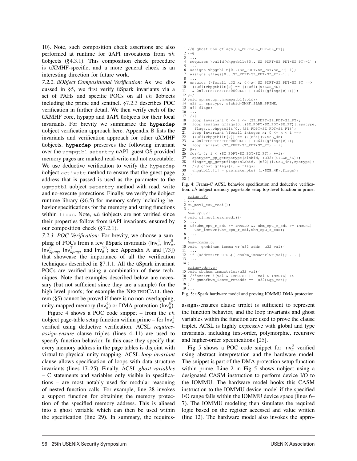10). Note, such composition check assertions are also performed at runtime for üAPI invocations from uh üobjects (§4.3.1). This composition check procedure is üXMHF-specific, and a more general check is an interesting direction for future work.

*7.2.2. üObject Compositional Verification:* As we discussed in §5, we first verify üSpark invariants via a set of PAHs and specific POCs on all vh üobjects including the prime and sentinel. §7.2.3 describes POC verification in further detail. We then verify each of the üXMHF core, hypapp and üAPI üobjects for their local invariants. For brevity we summarize the **hyperdep** üobject verification approach here. Appendix B lists the invariants and verification approach for other üXMHF üobjects. **hyperdep** preserves the following invariant over the ugmpgtbl setentry üAPI: guest OS provided memory pages are marked read-write and not executable. We use deductive verification to verify the hyperdep üobject activate method to ensure that the guest page address that is passed is used as the parameter to the ugmpgtbl üobject setentry method with read, write and no-execute protections. Finally, we verify the üobject runtime library (§6.5) for memory safety including behavior specifications for the memory and string functions within libuc. Note, uh üobjects are not verified since their properties follow from üAPI invariants. ensured by our composition check (§7.2.1).

*7.2.3. POC Verification:* For brevity, we choose a sampling of POCs from a few *ü*Spark invariants  $(\ln v_{ii}^4, \ln v_{ii}^6)$  $Inv_{\text{"iprog}}^6$ ,  $Inv_{\text{"iprog}}^7$ , and  $Inv_{\text{"i}}^{10}$ ; see Appendix A and [73]) that showcase the importance of all the verification techniques described in §7.1.1. All the üSpark invariant POCs are verified using a combination of these techniques. Note that examples described below are necessary (but not sufficient since they are a sample) for the high-level proofs; for example the NESTEDCALL theorem (§5) cannot be proved if there is no non-overlapping, unity-mapped memory ( $Inv_{ii}^4$ ) or DMA protection ( $Inv_{ii}^6$ ).

Figure 4 shows a POC code snippet – from the  $vh$ üobject page-table setup function within prime – for  $\ln v_{ii}^4$ verified using deductive verification. ACSL *requiresassign-ensure* clause triples (lines 4–11) are used to specify function behavior. In this case they specify that every memory address in the page tables is disjoint with virtual-to-physical unity mapping. ACSL *loop invariant* clause allows specification of loops with data structure invariants (lines 17–25). Finally, ACSL *ghost variables* – C statements and variables only visible in specifications – are most notably used for modular reasoning of nested function calls. For example, line 28 invokes a support function for obtaining the memory protection of the specified memory address. This is aliased into a ghost variable which can then be used within the specification (line 29). In summary, the requires-

```
1 //@ ghost u64 gflags[SZ_PDPT*SZ_PDT*SZ_PT];
 2 / * @
 3 ...
    4 requires \valid(vhpgtbl1t[0..(SZ_PDPT*SZ_PDT*SZ_PT)-1]);
  5 ...
6 assigns vhpgtbl1t[0..(SZ_PDPT*SZ_PDT*SZ_PT)-1];
     assigns gflags[0..(SZ_PDPT*SZ_PDT*SZ_PT)-1];
  8 ...
9 ensures (\forall u32 x; 0<=x< SZ_PDPT*SZ_PDT*SZ_PT ==>
10 ((u64)vhpgtbl1t[x] == (((u64)(x*SZB_4K)
11 & 0x7FFFFFFFFFFFF000ULL) | (u64)(gflags[x]))));
12 @*/
13 void gp_setup_vhmempgtbl(void){
14 u32 i, spatype, slabid=XMHF_SLAB_PRIME;<br>15 u64 flags;
15 u64 flags;
     16 ...
\begin{array}{cc} 17 & / * @ \\ 18 & 10 \end{array}18 loop invariant 0 \le i \le (SZ\_PDPT*SZ\_PDT*SZ\_PT);<br>19 loop assigns gflags[0..(SZ PDPT*SZ PDT*SZ PT)],s
19 loop assigns gflags[0..(SZ_PDPT*SZ_PDT*SZ_PT)], spatype,<br>20 flags.i.vhpgtbl1t[0 (SZ_PDPT*SZ_PDT*SZ_PT)].
20 flags,i,vhpgtbl1t[0..(SZ_PDPT*SZ_PDT*SZ_PT)];<br>21 loop invariant \forall integer x; 0 <= x < i =
21 loop invariant \forall integer x; 0 \le x \le i ==><br>22 ((u64)vhpgtbl1t[x]) == (((u64)(x*SZB_4K)
23 & 0x7FFFFFFFFFFFFFF000ULL) | (u64)(gflags[x]));<br>24 loop variant (SZ PDPT*SZ PDT*SZ PT) - i:
24 loop variant (SZ_PDPT*SZ_PDT*SZ_PT) - i;<br>25 \theta*/25 0*/<br>26 for
26 for(i=0; i < (SZ_PDPT*SZ_PDT*SZ_PT); ++i){<br>27 spatype= op getspatype(slabid, (u32)(i*SZ
27 spatype=_gp_getspatype(slabid, (u32)(i*SZB_4K));<br>28 flags= gp getptflags(slabid, (u32)(i*SZB_4K), spa
28 flags=_gp_getptflags(slabid, (u32)(i*SZB_4K),spatype);
29 //@ ghost gflags[i] = flags;
30 vhpgtbl1t[i] = pae_make_pte( (i*SZB_4K), flags);
31 }
32 }
```
Fig. 4: Frama-C ACSL behavior specification and deductive verification: vh üobject memory page-table setup top-level function in prime.

```
prime.cS:
 1 ...
2 ci_movl_eax_medi();
\overline{3} ...
  hwm-cpu.c:
4 void ci_movl_eax_medi(){
 5 ...
6 if(uhm_cpu_r_edi >= IMMULO && uhm_cpu_r_edi >= IMMUHI)
      uhm_immuwr(uhm_cpu_r_edi,uhm_cpu_r_eax);
8 ...
\overline{9} }
   hwm-iommu.c:
10 void _gxmhfhwm_iommu_wr(u32 addr, u32 val){
\frac{11}{12}12 if (addr==IMMUCTRL){ cbuhm_immuctrlwr(val); \dots}
   13 ...
14 }
   prime-vdrv.c:
15 void cbuhwm_immuctrlwr(u32 val){
16 //@assert !(val & IMMUTE) || (val & IMMUTE) &&
17 // gxmhfhwm_iommu_retaddr == (u32)&gp_ret);
18 }
19 ...
```
Fig. 5: üSpark hardware model and proving IOMMU DMA protection.

assigns-ensures clause triplet is sufficient to represent the function behavior, and the loop invariants and ghost variables within the function are used to prove the clause triplet. ACSL is highly expressive with global and type invariants, including first-order, polymorphic, recursive and higher-order specifications [25].

Fig 5 shows a POC code snippet for  $Inv_{ii}^6$  verified using abstract interpretation and the hardware model. The snippet is part of the DMA protection setup function within prime. Line 2 in Fig 5 shows üobject using a designated CASM instruction to perform device I/O to the IOMMU. The hardware model hooks this CASM instruction to the IOMMU device model if the specified I/O range falls within the IOMMU device space (lines 6– 7). The IOMMU modeling then simulates the required logic based on the register accessed and value written (line 12). The hardware model also invokes the appro-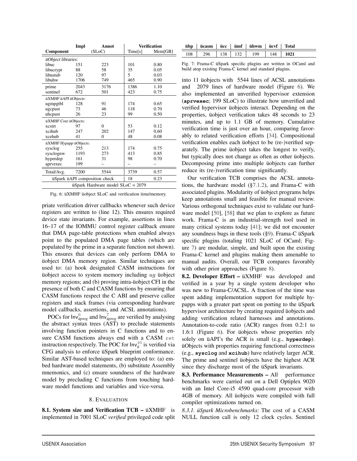|                                                    | Impl | Annot                         |         | <b>Verification</b> |
|----------------------------------------------------|------|-------------------------------|---------|---------------------|
| <b>Component</b>                                   |      | (SLoC)                        | Time[s] | Mem[GB]             |
| üObject libraries:                                 |      |                               |         |                     |
| libuc                                              | 151  | 223                           | 101     | 0.80                |
| libucrypt                                          | 88   | 58                            | 35      | 0.05                |
| libustub                                           | 120  | 97                            | 5       | 0.03                |
| libuhw                                             | 1706 | 749                           | 465     | 0.90                |
| prime                                              | 2043 | 3176                          | 1386    | 1.10                |
| sentinel                                           | 672  | 501                           | 423     | 0.75                |
| üXMHF üAPI üObjects:                               |      |                               |         |                     |
| ugmpgtbl                                           | 128  | 91                            | 174     | 0.65                |
| ugcpust                                            | 73   | 46                            | 118     | 0.70                |
| uhcpust                                            | 26   | 23                            | 99      | 0.50                |
| üXMHF Core üObjects:                               |      |                               |         |                     |
| xcstrt                                             | 97   | $\Omega$                      | 53      | 0.12                |
| xcihub                                             | 247  | 202                           | 147     | 0.60                |
| xcehub                                             | 41   | $\Omega$                      | 48      | 0.08                |
| üXMHF Hypapp üObjects:                             |      |                               |         |                     |
| sysclog                                            | 255  | 213                           | 174     | 0.75                |
| sysclognw                                          | 1193 | 273                           | 413     | 0.85                |
| hyperdep                                           | 161  | 31                            | 98      | 0.70                |
| aprvexec                                           | 199  |                               |         |                     |
| Total/Avg.                                         | 7200 | 5544                          | 3739    | 0.57                |
|                                                    |      | üSpark üAPI composition check | 18      | 0.23                |
| $\ddot{\text{u}}$ Spark Hardware model SLoC = 2079 |      |                               |         |                     |

Fig. 6: üXMHF üobject SLoC and verification time/memory.

priate verification driver callbacks whenever such device registers are written to (line 12). This ensures required device state invariants. For example, assertions in lines 16–17 of the IOMMU control register callback ensure that DMA page-table protections when enabled always point to the populated DMA page tables (which are populated by the prime in a separate function not shown). This ensures that devices can only perform DMA to üobject DMA memory region. Similar techniques are used to: (a) hook designated CASM instructions for üobject access to system memory including  $uq$  üobject memory regions; and (b) proving intra-üobject CFI in the presence of both C and CASM functions by ensuring that CASM functions respect the C ABI and preserve callee registers and stack frames (via corresponding hardware model callbacks, assertions, and ACSL annotations).

POCs for  $Inv_{\text{uprog}}^6$  and  $Inv_{\text{uprog}}^7$  are verified by analysing the abstract syntax trees (AST) to preclude statements involving function pointers in C functions and to ensure CASM functions always end with a CASM ret instruction respectively. The POC for  $Inv_{ii}^{10}$  is verified via CFG analysis to enforce üSpark blueprint conformance. Similar AST-based techniques are employed to: (a) embed hardware model statements, (b) substitute Assembly mnemonics, and (c) ensure soundness of the hardware model by precluding C functions from touching hardware model functions and variables and vice-versa.

#### 8. EVALUATION

8.1. System size and Verification TCB – üXMHF is implemented in 7001 SLoC *verified* privileged code split

| übp   ücasm   ücc   ümf   ühwm   ücvf   Total |  |  |  |
|-----------------------------------------------|--|--|--|
| 108   296   138   132   199   148   1021      |  |  |  |

Fig. 7: Frama-C üSpark specific plugins are written in OCaml and build atop existing Frama-C kernel and standard plugins.

into 11 üobjects with 5544 lines of ACSL annotations and 2079 lines of hardware model (Figure 6). We also implemented an unverified hypervisor extension (**aprvexec**; 199 SLoC) to illustrate how unverified and verified hypervisor üobjects interact. Depending on the properties, üobject verification takes 48 seconds to 23 minutes, and up to 1.1 GB of memory. Cumulative verification time is just over an hour, comparing favorably to related verification efforts [34]. Compositional verification enables each üobject to be (re-)verified separately. The prime üobject takes the longest to verify, but typically does not change as often as other üobjects. Decomposing prime into multiple üobjects can further reduce its (re-)verification time significantly.

Our verification TCB comprises the ACSL annotations, the hardware model (§7.1.2), and Frama-C with associated plugins. Modularity of üobject programs helps keep annotations small and feasible for manual review. Various orthogonal techniques exist to validate our hardware model [50], [58] that we plan to explore as future work. Frama-C is an industrial-strength tool used in many critical systems today [41]; we did not encounter any soundness bugs in these tools (§9). Frama-C üSpark specific plugins (totaling 1021 SLoC of OCaml; Figure 7) are modular, simple, and built upon the existing Frama-C kernel and plugins making them amenable to manual audits. Overall, our TCB compares favorably with other prior approaches (Figure 8).

8.2. Developer Effort – üXMHF was developed and verified in a year by a single system developer who was new to Frama-C/ACSL. A fraction of the time was spent adding implementation support for multiple hypapps with a greater part spent on porting to the üSpark hypervisor architecture by creating required üobjects and adding verification related harnesses and annotations. Annotation-to-code ratio (ACR) ranges from 0.2:1 to 1.6:1 (Figure 6). For üobjects whose properties rely solely on üAPI's the ACR is small (e.g., **hyperdep**). üObjects with properties requiring functional correctness (e.g., **sysclog** and **xcihub**) have relatively larger ACR. The prime and sentinel üobjects have the highest ACR since they discharge most of the üSpark invariants.

8.3. Performance Measurements - All performance benchmarks were carried out on a Dell Optiplex 9020 with an Intel Core-i5 4590 quad-core processor with 4GB of memory. All üobjects were compiled with full compiler optimizations turned on.

*8.3.1. üSpark Microbenchmarks:* The cost of a CASM NULL function call is only 12 clock cycles. Sentinel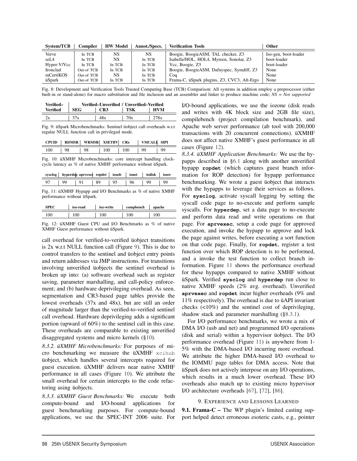| System/TCB  | Compiler   | <b>HW Model</b> | Annot./Specs. | <b>Verification Tools</b>                   | <b>Other</b>         |
|-------------|------------|-----------------|---------------|---------------------------------------------|----------------------|
| Verve       | In TCB     | <b>NS</b>       | NS.           | Boogie, BoogieASM, TAL checker, Z3          | Iso-gen, boot-loader |
| seL4        | In TCB     | NS              | In TCB        | Isabelle/HOL, HOL4, Myreen, Sonolar, Z3     | boot-loader          |
| Hyper-V/Vcc | In TCB     | In TCB          | In TCB        | Vcc, Boogie, Z3                             | boot-loader          |
| Ironclad    | Out-of TCB | In TCB          | In TCB        | Boogie, BoogieASM, Dafnyspec, Symdiff, Z3   | None                 |
| mCertiKOS   | Out-of TCB | NS              | In TCB        | Coa                                         | None                 |
| üSpark      | Out-of TCB | In TCB          | In TCB        | Frama-C, üSpark plugins, Z3, CVC3, Alt-Ergo | None                 |

Fig. 8: Development and Verification Tools Trusted Computing Base (TCB) Comparison: All systems in addition employ a preprocessor (either built-in or stand-alone) for macro substitution and file inclusion and an assembler and linker to produce machine code; *NS = Not supported*

| Verified– | Verified–Unverified / Unverified–Verified |     |     |            |
|-----------|-------------------------------------------|-----|-----|------------|
| Verified  | SEG                                       | CR3 | TSK | <b>HVM</b> |
|           | 37x                                       | 48x | 70x |            |

Fig. 9: üSpark Microbenchmarks: Sentinel üobject call overheads w.r.t regular NULL function call in privileged mode.

| CPUID |    | <b>RDMSR</b> WRMSR XSETBV CRx |     |             | VMCALL SIPI |    |
|-------|----|-------------------------------|-----|-------------|-------------|----|
| - 100 | 98 |                               | 100 | $\perp 100$ | oo          | oο |

Fig. 10: üXMHF Microbenchmarks: core intercept handling clockcycle latency as % of native XMHF performance without üSpark.

|     |    |  | hyperdep aprvexec ropdet   iousb   ionet   iodisk | ioser |
|-----|----|--|---------------------------------------------------|-------|
| -97 | 89 |  | 99                                                |       |

Fig. 11: üXMHF Hypapp and I/O Benchmarks as % of native XMHF performance without üSpark.

|     | ioz-read | ioz-write | compbench | apache |
|-----|----------|-----------|-----------|--------|
| .00 |          | 100       |           |        |

Fig. 12: üXMHF Guest CPU and I/O Benchmarks as % of native XMHF Guest performance without üSpark.

call overhead for verified-to-verified üobject transitions is 2x w.r.t NULL function call (Figure 9). This is due to control transfers to the sentinel and üobject entry points and return addresses via JMP instructions. For transitions involving unverified üobjects the sentinel overhead is broken up into: (a) software overhead such as register saving, parameter marshalling, and call-policy enforcement; and (b) hardware deprivileging overhead. As seen, segmentation and CR3-based page tables provide the lowest overheads (37x and 48x), but are still an order of magnitude larger than the verified-to-verified sentinel call overhead. Hardware deprivileging adds a significant portion (upward of 60%) to the sentinel call in this case. These overheads are comparable to existing unverified disaggregated systems and micro kernels (§10).

*8.3.2. üXMHF Microbenchmarks:* For purposes of micro benchmarking we measure the üXMHF xcihub üobject, which handles several intercepts required for guest execution. üXMHF delivers near native XMHF performance in all cases (Figure 10). We attribute the small overhead for certain intercepts to the code refactoring using üobjects.

*8.3.3. üXMHF Guest Benchmarks:* We execute both compute-bound and I/O-bound applications for guest benchmarking purposes. For compute-bound applications, we use the SPEC-INT 2006 suite. For

I/O-bound applications, we use the iozone (disk reads and writes with 4K block size and 2GB file size), compilebench (project compilation benchmark), and Apache web server performance (ab tool with 200,000 transactions with 20 concurrent connections). üXMHF does not affect native XMHF's guest performance in all cases (Figure 12).

*8.3.4. üXMHF Application Benchmarks:* We use the hypapps described in §6.1 along with another unverified hypapp **ropdet** (which captures guest branch information for ROP detection) for hypapp performance benchmarking. We wrote a guest üobject that interacts with the hypapps to leverage their services as follows. For **sysclog**, activate syscall logging by setting the syscall code page to no-execute and perform sample syscalls. For **hyperdep**, set a data page to no-execute and perform data read and write operations on that page. For **aprvexec**, setup a code page for approved execution, and invoke the hypapp to approve and lock the page against writes, before executing a sort function on that code page. Finally, for **ropdet**, register a test function over which ROP detection is to be performed, and a invoke the test function to collect branch information. Figure 11 shows the performance overhead for these hypapps compared to native XMHF without üSpark. Verified **sysclog** and **hyperdep** run close to native XMHF speeds (2% avg. overhead). Unverified **aprvexec** and **ropdet** incur higher overheads (9% and 11% respectively). The overhead is due to üAPI invariant checks (<10%) and the sentinel cost of deprivileging, shadow stack and parameter marshalling (§8.3.1).

For I/O performance benchmarks, we wrote a mix of DMA I/O (usb and net) and programmed I/O operations (disk and serial) within a hypervisor üobject. The I/O performance overhead (Figure 11) is anywhere from 1- 5% with the DMA-based I/O incurring more overhead. We attribute the higher DMA-based I/O overhead to the IOMMU page tables for DMA access. Note that üSpark does not actively interpose on any I/O operations, which results in a much lower overhead. These I/O overheads also match up to existing micro hypervisor I/O architecture overheads [67], [72], [86].

# 9. EXPERIENCE AND LESSONS LEARNED

**9.1. Frama-C** – The WP plugin's limited casting support helped detect erroneous esoteric casts, e.g., pointer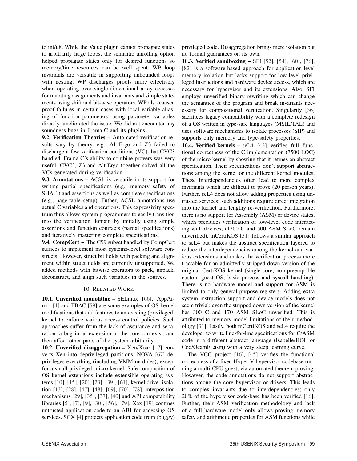to int/u8. While the Value plugin cannot propagate states to arbitrarily large loops, the semantic unrolling option helped propagate states only for desired functions so memory/time resources can be well spent. WP loop invariants are versatile in supporting unbounded loops with nesting. WP discharges proofs more effectively when operating over single-dimensional array accesses for mutating assignments and invariants and simple statements using shift and bit-wise operators. WP also caused proof failures in certain cases with local variable aliasing of function parameters; using parameter variables directly ameliorated the issue. We did not encounter any soundness bugs in Frama-C and its plugins.

9.2. Verification Theories – Automated verification results vary by theory, e.g., Alt-Ergo and Z3 failed to discharge a few verification conditions (VC) that CVC3 handled. Frama-C's ability to combine provers was very useful; CVC3, Z3 and Alt-Ergo together solved all the VCs generated during verification.

9.3. Annotations – ACSL is versatile in its support for writing partial specifications (e.g., memory safety of SHA-1) and assertions as well as complete specifications (e.g., page-table setup). Futher, ACSL annotations use actual C variables and operations. This expressivity spectrum thus allows system programmers to easily transition into the verification domain by initially using simple assertions and function contracts (partial specifications) and iteratively mastering complete specifications.

9.4. CompCert – The C99 subset handled by CompCert suffices to implement most systems-level software constructs. However, struct bit fields with packing and alignment within struct fields are currently unsupported. We added methods with bitwise operators to pack, unpack, deconstruct, and align such variables in the sources.

# 10. RELATED WORK

10.1. Unverified monolithic – SELinux [66], AppArmor [1] and FBAC [59] are some examples of OS kernel modifications that add features to an existing (privileged) kernel to enforce various access control policies. Such approaches suffer from the lack of assurance and separation: a bug in an extension or the core can exist, and then affect other parts of the system arbitrarily.

10.2. Unverified disaggregation – Xen/Xoar [17] converts Xen into deprivileged partitions. NOVA [67] deprivileges everything (including VMM modules), except for a small privileged micro kernel. Safe composition of OS kernel extensions include extensible operating systems [10], [15], [20], [23], [39], [61], kernel driver isolation [13], [28], [47], [48], [69], [70], [78], interposition mechanisms [29], [35], [37], [40] and API compatability libraries [5], [7], [9], [30], [56], [79]. Xax [19] confines untrusted application code to an ABI for accessing OS services. SGX [4] protects application code from (buggy)

privileged code. Disaggregation brings mere isolation but no formal guarantees on its own.

10.3. Verified sandboxing – SFI [52], [54], [60], [76], [82] is a software-based approach for application-level memory isolation but lacks support for low-level privileged instructions and hardware device access, which are necessary for hypervisor and its extensions. Also, SFI employs unverified binary rewriting which can change the semantics of the program and break invariants necessary for compositional verification. Singularity [36] sacrifices legacy compatibility with a complete redesign of a OS written in type-safe languages (MSIL/TAL) and uses software mechanisms to isolate processes (SIP) and supports only memory and type-safety properties.

10.4. Verified kernels – seL4 [43] verifies full functional correctness of the C implementation (7500 LOC) of the micro kernel by showing that it refines an abstract specification. Their specifications don't support abstractions among the kernel or the different kernel modules. These interdependencies often lead to more complex invariants which are difficult to prove (20 person years). Further, seL4 does not allow adding properties using untrusted services; such additions require direct integration into the kernel and lengthy re-verification. Furthermore, there is no support for Assembly (ASM) or device states, which precludes verification of low-level code interacting with devices; (1200 C and 500 ASM SLoC remain unverified). mCertiKOS [31] follows a similar approach to seL4 but makes the abstract specification layered to reduce the interdependencies among the kernel and various extensions and makes the verification process more tractable for an admittedly stripped down version of the original CertiKOS kernel (single-core, non-preemptible custom guest OS, basic process and syscall handling). There is no hardware model and support for ASM is limited to only general-purpose registers. Adding extra system instruction support and device models does not seem trivial; even the stripped down version of the kernel has 300 C and 170 ASM SLoC unverified. This is attributed to memory model limitations of their methodology [31]. Lastly, both mCertiKOS and seL4 require the developer to write line-for-line specifications for C/ASM code in a different abstract language (Isabelle/HOL or Coq/Ocaml/Lasm) with a very steep learning curve.

The VCC project [16], [45] verifies the functional correctness of a fixed Hyper-V hypervisor codebase running a multi-CPU guest, via automated theorem proving. However, the code annotations do not support abstractions among the core hypervisor or drivers. This leads to complex invariants due to interdependencies; only 20% of the hypervisor code-base has been verified [16]. Further, their ASM verification methodology and lack of a full hardware model only allows proving memory safety and arithmetic properties for ASM functions while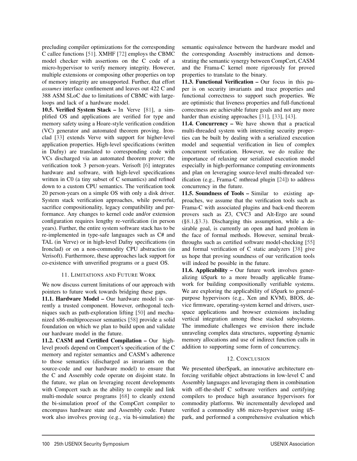precluding compiler optimizations for the corresponding C callee functions [51]. XMHF [72] employs the CBMC model checker with assertions on the C code of a micro-hypervisor to verify memory integrity. However, multiple extensions or composing other properties on top of memory integrity are unsupported. Further, that effort *assumes* interface confinement and leaves out 422 C and 388 ASM SLoC due to limitations of CBMC with largeloops and lack of a hardware model.

10.5. Verified System Stack – In Verve [81], a simplified OS and applications are verified for type and memory safety using a Hoare-style verification condition (VC) generator and automated theorem proving. Ironclad [33] extends Verve with support for higher-level application properties. High-level specifications (written in Dafny) are translated to corresponding code with VCs discharged via an automated theorem prover; the verification took 3 person-years. Verisoft [6] integrates hardware and software, with high-level specifications written in C0 (a tiny subset of C semantics) and refined down to a custom CPU semantics. The verification took 20 person-years on a simple OS with only a disk driver. System stack verification approaches, while powerful, sacrifice compositionality, legacy compatibility and performance. Any changes to kernel code and/or extension configuration requires lengthy re-verification (in person years). Further, the entire system software stack has to be re-implemented in type-safe languages such as C# and TAL (in Verve) or in high-level Dafny specifications (in Ironclad) or on a non-commodity CPU abstraction (in Verisoft). Furthermore, these approaches lack support for co-existence with unverified programs or a guest OS.

# 11. LIMITATIONS AND FUTURE WORK

We now discuss current limitations of our approach with pointers to future work towards bridging these gaps.

11.1. Hardware Model – Our hardware model is currently a trusted component. However, orthogonal techniques such as path-exploration lifting [50] and mechanized x86-multiprocessor semantics [58] provide a solid foundation on which we plan to build upon and validate our hardware model in the future.

11.2. CASM and Certified Compilation – Our highlevel proofs depend on Compcert's specification of the C memory and register semantics and CASM's adherence to those semantics (discharged as invariants on the source-code and our hardware model) to ensure that the C and Assembly code operate on disjoint state. In the future, we plan on leveraging recent developments with Compcert such as the ability to compile and link multi-module source programs [68] to cleanly extend the bi-simulation proof of the CompCert compiler to encompass hardware state and Assembly code. Future work also involves proving (e.g., via bi-simulation) the

semantic equivalence between the hardware model and the corresponding Assembly instructions and demonstrating the semantic synergy between CompCert, CASM and the Frama-C kernel more rigorously for proved properties to translate to the binary.

11.3. Functional Verification – Our focus in this paper is on security invariants and trace properties and functional correctness to support such properties. We are optimistic that liveness properties and full-functional correctness are achievable future goals and not any more harder than existing approaches [31], [33], [43].

11.4. Concurrency – We have shown that a practical multi-threaded system with interesting security properties can be built by dealing with a serialized execution model and sequential verification in lieu of complex concurrent verification. However, we do realize the importance of relaxing our serialized execution model especially in high-performance computing environments and plan on leveraging source-level multi-threaded verification (e.g., Frama-C mthread plugin [24]) to address concurrency in the future.

11.5. Soundness of Tools – Similar to existing approaches, we assume that the verification tools such as Frama-C with associated plugins and back-end theorem provers such as Z3, CVC3 and Alt-Ergo are sound (§8.1,§3.3). Discharging this assumption, while a desirable goal, is currently an open and hard problem in the face of formal methods. However, seminal breakthroughs such as certified software model-checking [55] and formal verification of C static analyzers [38] give us hope that proving soundness of our verification tools will indeed be possible in the future.

11.6. Applicability – Our future work involves generalizing üSpark to a more broadly applicable framework for building compositionally verifiable systems. We are exploring the applicability of üSpark to generalpurpose hypervisors (e.g., Xen and KVM), BIOS, device firmware, operating-system kernel and drivers, userspace applications and browser extensions including vertical integration among these stacked subsystems. The immediate challenges we envision there include unraveling complex data structures, supporting dynamic memory allocations and use of indirect function calls in addition to supporting some form of concurrency.

# 12. CONCLUSION

We presented überSpark, an innovative architecture enforcing verifiable object abstractions in low-level C and Assembly languages and leveraging them in combination with off-the-shelf C software verifiers and certifying compilers to produce high assurance hypervisors for commodity platforms. We incrementally developed and verified a commodity x86 micro-hypervisor using üSpark, and performed a comprehensive evaluation which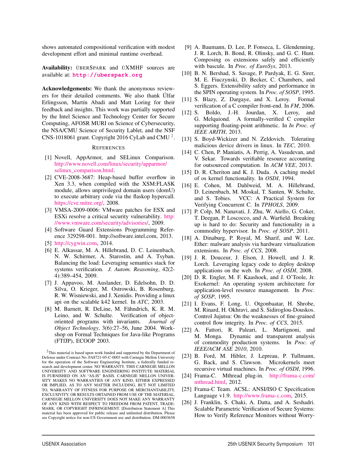shows automated compositional verification with modest development effort and minimal runtime overhead.

Availability: ÜBERSPARK and ÜXMHF sources are available at: **http://uberspark.org**

Acknowledgements: We thank the anonymous reviewers for their detailed comments. We also thank Úlfar Erlingsson, Martín Abadi and Matt Loring for their feedback and insights. This work was partially supported by the Intel Science and Technology Center for Secure Computing, AFOSR MURI on Science of Cybersecurity, the NSA/CMU Science of Security Lablet, and the NSF CNS-1018061 grant. Copyright 2016 CyLab and CMU 2.

#### **REFERENCES**

- [1] Novell, AppArmor, and SELinux Comparison. http://www.novell.com/linux/security/apparmor/ selinux\_comparison.html.
- [2] CVE-2008-3687: Heap-based buffer overflow in Xen 3.3, when compiled with the XSM:FLASK module, allows unprivileged domain users (domU) to execute arbitrary code via the flaskop hypercall. https://cve.mitre.org/, 2008.
- [3] VMSA-2009-0006: VMware patches for ESX and ESXi resolve a critical security vulnerability. http: //www.vmware.com/security/advisories/, 2009.
- [4] Software Guard Extensions Programming Reference 329298-001. http://software.intel.com, 2013.
- [5] http://cygwin.com, 2014.
- [6] E. Alkassar, M. A. Hillebrand, D. C. Leinenbach, N. W. Schirmer, A. Starostin, and A. Tsyban. Balancing the load: Leveraging semantics stack for systems verification. *J. Autom. Reasoning*, 42(2- 4):389–454, 2009.
- [7] J. Appavoo, M. Auslander, D. Edelsohn, D. D. Silva, O. Krieger, M. Ostrowski, B. Rosenburg, R. W. Wisniewski, and J. Xenidis. Providing a linux api on the scalable k42 kernel. In *ATC*, 2003.
- [8] M. Barnett, R. DeLine, M. Fähndrich, K. R. M. Leino, and W. Schulte. Verification of objectoriented programs with invariants. *Journal of Object Technology*, 3(6):27–56, June 2004. Workshop on Formal Techniques for Java-like Programs (FTfJP), ECOOP 2003.
- [9] A. Baumann, D. Lee, P. Fonseca, L. Glendenning, J. R. Lorch, B. Bond, R. Olinsky, and G. C. Hunt. Composing os extensions safely and efficiently with bascule. In *Proc. of EuroSys*, 2013.
- [10] B. N. Bershad, S. Savage, P. Pardyak, E. G. Sirer, M. E. Fiuczynski, D. Becker, C. Chambers, and S. Eggers. Extensibility safety and performance in the SPIN operating system. In *Proc. of SOSP*, 1995.
- [11] S. Blazy, Z. Dargaye, and X. Leroy. Formal verification of a C compiler front-end. In *FM*, 2006.
- [12] S. Boldo, J.-H. Jourdan, X. Leroy, and G. Melquiond. A formally-verified C compiler supporting floating-point arithmetic. In *In Proc. of IEEE ARITH*, 2013.
- [13] S. Boyd-Wickizer and N. Zeldovich. Tolerating malicious device drivers in linux. In *TEC*, 2010.
- [14] C. Chen, P. Maniatis, A. Perrig, A. Vasudevan, and V. Sekar. Towards verifiable resource accounting for outsourced computation. In *ACM VEE*, 2013.
- [15] D. R. Cheriton and K. J. Duda. A caching model of os kernel functionality. In *OSDI*, 1994.
- [16] E. Cohen, M. Dahlweid, M. A. Hillebrand, D. Leinenbach, M. Moskal, T. Santen, W. Schulte, and S. Tobies. VCC: A Practical System for Verifying Concurrent C. In *TPHOLS*, 2009.
- [17] P. Colp, M. Nanavati, J. Zhu, W. Aiello, G. Coker, T. Deegan, P. Loscocco, and A. Warfield. Breaking up is hard to do: Security and functionality in a commodity hypervisor. In *Proc. of SOSP*, 2011.
- [18] A. Dinaburg, P. Royal, M. Sharif, and W. Lee. Ether: malware analysis via hardware virtualization extensions. In *Proc. of CCS*, 2008.
- [19] J. R. Douceur, J. Elson, J. Howell, and J. R. Lorch. Leveraging legacy code to deploy desktop applications on the web. In *Proc. of OSDI*, 2008.
- [20] D. R. Engler, M. F. Kaashoek, and J. O'Toole, Jr. Exokernel: An operating system architecture for application-level resource management. In *Proc. of SOSP*, 1995.
- [21] I. Evans, F. Long, U. Otgonbaatar, H. Shrobe, M. Rinard, H. Okhravi, and S. Sidiroglou-Douskos. Control Jujutsu: On the weaknesses of fine-grained control flow integrity. In *Proc. of CCS*, 2015.
- [22] A. Fattori, R. Paleari, L. Martignoni, and M. Monga. Dynamic and transparent analysis of commodity production systems. In *Proc. of IEEE/ACM ASE 2010*, 2010.
- [23] B. Ford, M. Hibler, J. Lepreau, P. Tullmann, G. Back, and S. Clawson. Microkernels meet recursive virtual machines. In *Proc. of OSDI*, 1996.
- [24] Frama-C. Mthread plug-in. http://frama-c.com/ mthread.html, 2012.
- [25] Frama-C Team. ACSL: ANSI/ISO C Specification Language v1.9. http://www.frama-c.com, 2015.
- [26] J. Franklin, S. Chaki, A. Datta, and A. Seshadri. Scalable Parametric Verification of Secure Systems: How to Verify Reference Monitors without Worry-

 $2$ This material is based upon work funded and supported by the Department of Defense under Contract No. FA8721-05-C-0003 with Carnegie Mellon University for the operation of the Software Engineering Institute, a federally funded research and development center. NO WARRANTY. THIS CARNEGIE MELLON UNIVERSITY AND SOFTWARE ENGINEERING INSTITUTE MATERIAL IS FURNISHED ON AN "AS-IS" BASIS. CARNEGIE MELLON UNIVER-SITY MAKES NO WARRANTIES OF ANY KIND, EITHER EXPRESSED OR IMPLIED, AS TO ANY MATTER INCLUDING, BUT NOT LIMITED TO, WARRANTY OF FITNESS FOR PURPOSE OR MERCHANTABILITY, EXCLUSIVITY, OR RESULTS OBTAINED FROM USE OF THE MATERIAL. CARNEGIE MELLON UNIVERSITY DOES NOT MAKE ANY WARRANTY OF ANY KIND WITH RESPECT TO FREEDOM FROM PATENT, TRADE-MARK, OR COPYRIGHT INFRINGEMENT. [Distribution Statement A] This material has been approved for public release and unlimited distribution. Please see Copyright notice for non-US Government use and distribution. DM-0003658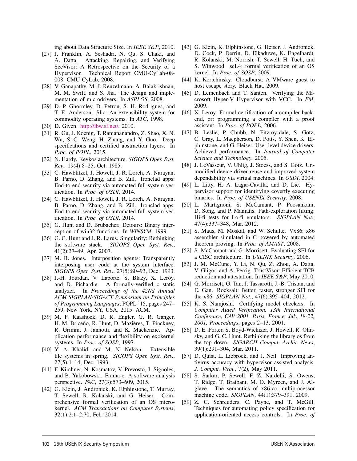ing about Data Structure Size. In *IEEE S&P*, 2010.

- [27] J. Franklin, A. Seshadri, N. Qu, S. Chaki, and A. Datta. Attacking, Repairing, and Verifying SecVisor: A Retrospective on the Security of a Hypervisor. Technical Report CMU-CyLab-08- 008, CMU CyLab, 2008.
- [28] V. Ganapathy, M. J. Renzelmann, A. Balakrishnan, M. M. Swift, and S. Jha. The design and implementation of microdrivers. In *ASPLOS*, 2008.
- [29] D. P. Ghormley, D. Petrou, S. H. Rodrigues, and T. E. Anderson. Slic: An extensibility system for commodity operating systems. In *ATC*, 1998.
- [30] D. Given. http://lbw.sf.net/, 2010.
- [31] R. Gu, J. Koenig, T. Ramananandro, Z. Shao, X. N. Wu, S.-C. Weng, H. Zhang, and Y. Guo. Deep specifications and certified abstraction layers. In *Proc. of POPL*, 2015.
- [32] N. Hardy. Keykos architecture. *SIGOPS Oper. Syst. Rev.*, 19(4):8–25, Oct. 1985.
- [33] C. Hawblitzel, J. Howell, J. R. Lorch, A. Narayan, B. Parno, D. Zhang, and B. Zill. Ironclad apps: End-to-end security via automated full-system verification. In *Proc. of OSDI*, 2014.
- [34] C. Hawblitzel, J. Howell, J. R. Lorch, A. Narayan, B. Parno, D. Zhang, and B. Zill. Ironclad apps: End-to-end security via automated full-system verification. In *Proc. of OSDI*, 2014.
- [35] G. Hunt and D. Brubacher. Detours: Binary interception of win32 functions. In *WINSYM*, 1999.
- [36] G. C. Hunt and J. R. Larus. Singularity: Rethinking the software stack. *SIGOPS Oper. Syst. Rev.*, 41(2):37–49, Apr. 2007.
- [37] M. B. Jones. Interposition agents: Transparently interposing user code at the system interface. *SIGOPS Oper. Syst. Rev.*, 27(5):80–93, Dec. 1993.
- [38] J.-H. Jourdan, V. Laporte, S. Blazy, X. Leroy, and D. Pichardie. A formally-verified c static analyzer. In *Proceedings of the 42Nd Annual ACM SIGPLAN-SIGACT Symposium on Principles of Programming Languages*, POPL '15, pages 247– 259, New York, NY, USA, 2015. ACM.
- [39] M. F. Kaashoek, D. R. Engler, G. R. Ganger, H. M. Briceño, R. Hunt, D. Mazières, T. Pinckney, R. Grimm, J. Jannotti, and K. Mackenzie. Application performance and flexibility on exokernel systems. In *Proc. of SOSP*, 1997.
- [40] Y. A. Khalidi and M. N. Nelson. Extensible file systems in spring. *SIGOPS Oper. Syst. Rev.*, 27(5):1–14, Dec. 1993.
- [41] F. Kirchner, N. Kosmatov, V. Prevosto, J. Signoles, and B. Yakobowski. Frama-c: A software analysis perspective. *FAC*, 27(3):573–609, 2015.
- [42] G. Klein, J. Andronick, K. Elphinstone, T. Murray, T. Sewell, R. Kolanski, and G. Heiser. Comprehensive formal verification of an OS microkernel. *ACM Transactions on Computer Systems*, 32(1):2:1–2:70, Feb. 2014.
- [43] G. Klein, K. Elphinstone, G. Heiser, J. Andronick, D. Cock, P. Derrin, D. Elkaduwe, K. Engelhardt, R. Kolanski, M. Norrish, T. Sewell, H. Tuch, and S. Winwood. seL4: formal verification of an OS kernel. In *Proc. of SOSP*, 2009.
- [44] K. Kortchinsky. Cloudburst: A VMware guest to host escape story. Black Hat, 2009.
- [45] D. Leinenbach and T. Santen. Verifying the Microsoft Hyper-V Hypervisor with VCC. In *FM*, 2009.
- [46] X. Leroy. Formal certification of a compiler backend, or: programming a compiler with a proof assistant. In *Proc. of POPL*, 2006.
- [47] B. Leslie, P. Chubb, N. Fitzroy-dale, S. Gotz, C. Gray, L. Macpherson, D. Potts, Y. Shen, K. Elphinstone, and G. Heiser. User-level device drivers: Achieved performance. In *Journal of Computer Science and Technology*, 2005.
- [48] J. LeVasseur, V. Uhlig, J. Stoess, and S. Gotz. Unmodified device driver reuse and improved system dependability via virtual machines. In *OSDI*, 2004.
- [49] L. Litty, H. A. Lagar-Cavilla, and D. Lie. Hypervisor support for identifying covertly executing binaries. In *Proc. of USENIX Security*, 2008.
- [50] L. Martignoni, S. McCamant, P. Poosankam, D. Song, and P. Maniatis. Path-exploration lifting: Hi-fi tests for Lo-fi emulators. *SIGPLAN Not.*, 47(4):337–348, Mar. 2012.
- [51] S. Maus, M. Moskal, and W. Schulte. Vx86: x86 assembler simulated in C powered by automated theorem proving. In *Proc. of AMAST*, 2008.
- [52] S. McCamant and G. Morrisett. Evaluating SFI for a CISC architecture. In *USENIX Security*, 2006.
- [53] J. M. McCune, Y. Li, N. Qu, Z. Zhou, A. Datta, V. Gligor, and A. Perrig. TrustVisor: Efficient TCB reduction and attestation. In *IEEE S&P*, May 2010.
- [54] G. Morrisett, G. Tan, J. Tassarotti, J.-B. Tristan, and E. Gan. Rocksalt: Better, faster, stronger SFI for the x86. *SIGPLAN Not.*, 47(6):395–404, 2012.
- [55] K. S. Namjoshi. Certifying model checkers. In *Computer Aided Verification, 13th International Conference, CAV 2001, Paris, France, July 18-22, 2001, Proceedings*, pages 2–13, 2001.
- [56] D. E. Porter, S. Boyd-Wickizer, J. Howell, R. Olinsky, and G. C. Hunt. Rethinking the library os from the top down. *SIGARCH Comput. Archit. News*, 39(1):291–304, Mar. 2011.
- [57] D. Quist, L. Liebrock, and J. Neil. Improving antivirus accuracy with hypervisor assisted analysis. *J. Comput. Virol.*, 7(2), May 2011.
- [58] S. Sarkar, P. Sewell, F. Z. Nardelli, S. Owens, T. Ridge, T. Braibant, M. O. Myreen, and J. Alglave. The semantics of x86-cc multiprocessor machine code. *SIGPLAN*, 44(1):379–391, 2009.
- [59] Z. C. Schreuders, C. Payne, and T. McGill. Techniques for automating policy specification for application-oriented access controls. In *Proc. of*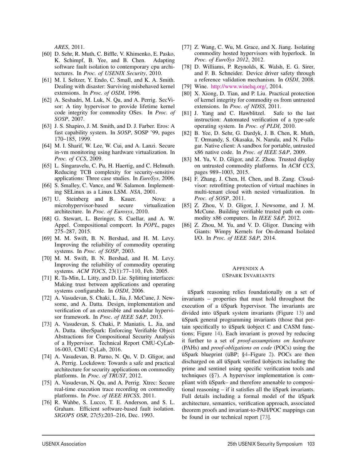*ARES*, 2011.

- [60] D. Sehr, R. Muth, C. Biffle, V. Khimenko, E. Pasko, K. Schimpf, B. Yee, and B. Chen. Adapting software fault isolation to contemporary cpu architectures. In *Proc. of USENIX Security*, 2010.
- [61] M. I. Seltzer, Y. Endo, C. Small, and K. A. Smith. Dealing with disaster: Surviving misbehaved kernel extensions. In *Proc. of OSDI*, 1996.
- [62] A. Seshadri, M. Luk, N. Qu, and A. Perrig. SecVisor: A tiny hypervisor to provide lifetime kernel code integrity for commodity OSes. In *Proc. of SOSP*, 2007.
- [63] J. S. Shapiro, J. M. Smith, and D. J. Farber. Eros: A fast capability system. In *SOSP*, SOSP '99, pages 170–185, 1999.
- [64] M. I. Sharif, W. Lee, W. Cui, and A. Lanzi. Secure in-vm monitoring using hardware virtualization. In *Proc. of CCS*, 2009.
- [65] L. Singaravelu, C. Pu, H. Haertig, and C. Helmuth. Reducing TCB complexity for security-sensitive applications: Three case studies. In *EuroSys*, 2006.
- [66] S. Smalley, C. Vance, and W. Salamon. Implementing SELinux as a Linux LSM. *NSA*, 2001.
- [67] U. Steinberg and B. Kauer. Nova: a microhypervisor-based secure virtualization architecture. In *Proc. of Eurosys*, 2010.
- [68] G. Stewart, L. Beringer, S. Cuellar, and A. W. Appel. Compositional compcert. In *POPL*, pages 275–287, 2015.
- [69] M. M. Swift, B. N. Bershad, and H. M. Levy. Improving the reliability of commodity operating systems. In *Proc. of SOSP*, 2003.
- [70] M. M. Swift, B. N. Bershad, and H. M. Levy. Improving the reliability of commodity operating systems. *ACM TOCS*, 23(1):77–110, Feb. 2005.
- [71] R. Ta-Min, L. Litty, and D. Lie. Splitting interfaces: Making trust between applications and operating systems configurable. In *OSDI*, 2006.
- [72] A. Vasudevan, S. Chaki, L. Jia, J. McCune, J. Newsome, and A. Datta. Design, implementation and verification of an extensible and modular hypervisor framework. In *Proc. of IEEE S&P*, 2013.
- [73] A. Vasudevan, S. Chaki, P. Maniatis, L. Jia, and A. Datta. überSpark: Enforcing Verifiable Object Abstractions for Compositional Security Analysis of a Hypervisor. Technical Report CMU-CyLab-16-003, CMU CyLab, 2016.
- [74] A. Vasudevan, B. Parno, N. Qu, V. D. Gligor, and A. Perrig. Lockdown: Towards a safe and practical architecture for security applications on commodity platforms. In *Proc. of TRUST*, 2012.
- [75] A. Vasudevan, N. Qu, and A. Perrig. Xtrec: Secure real-time execution trace recording on commodity platforms. In *Proc. of IEEE HICSS*, 2011.
- [76] R. Wahbe, S. Lucco, T. E. Anderson, and S. L. Graham. Efficient software-based fault isolation. *SIGOPS OSR*, 27(5):203–216, Dec. 1993.
- [77] Z. Wang, C. Wu, M. Grace, and X. Jiang. Isolating commodity hosted hypervisors with hyperlock. In *Proc. of EuroSys 2012*, 2012.
- [78] D. Williams, P. Reynolds, K. Walsh, E. G. Sirer, and F. B. Schneider. Device driver safety through a reference validation mechanism. In *OSDI*, 2008.
- [79] Wine. http://www.winehq.org/, 2014.
- [80] X. Xiong, D. Tian, and P. Liu. Practical protection of kernel integrity for commodity os from untrusted extensions. In *Proc. of NDSS*, 2011.
- [81] J. Yang and C. Hawblitzel. Safe to the last instruction: Automated verification of a type-safe operating system. In *Proc. of PLDI*, 2010.
- [82] B. Yee, D. Sehr, G. Dardyk, J. B. Chen, R. Muth, T. Ormandy, S. Okasaka, N. Narula, and N. Fullagar. Native client: A sandbox for portable, untrusted x86 native code. In *Proc. of IEEE S&P*, 2009.
- [83] M. Yu, V. D. Gligor, and Z. Zhou. Trusted display on untrusted commodity platforms. In *ACM CCS*, pages 989–1003, 2015.
- [84] F. Zhang, J. Chen, H. Chen, and B. Zang. Cloudvisor: retrofitting protection of virtual machines in multi-tenant cloud with nested virtualization. In *Proc. of SOSP*, 2011.
- [85] Z. Zhou, V. D. Gligor, J. Newsome, and J. M. McCune. Building verifiable trusted path on commodity x86 computers. In *IEEE S&P*, 2012.
- [86] Z. Zhou, M. Yu, and V. D. Gligor. Dancing with Giants: Wimpy Kernels for On-demand Isolated I/O. In *Proc. of IEEE S&P*, 2014.

#### APPENDIX A ÜSPARK INVARIANTS

üSpark reasoning relies foundationally on a set of invariants – properties that must hold throughout the execution of a üSpark hypervisor. The invariants are divided into üSpark system invariants (Figure 13) and üSpark general programming invariants (those that pertain specifically to üSpark üobject C and CASM functions; Figure 14). Each invariant is proved by reducing it further to a set of *proof-assumptions on hardware* (PAHs) and *proof-obligations on code* (POCs) using the üSpark blueprint (üBP; §4–Figure 2). POCs are then discharged on all üSpark verified üobjects including the prime and sentinel using specific verification tools and techniques (§7). A hypervisor implementation is compliant with üSpark– and therefore amenable to compositional reasoning – if it satisfies all the üSpark invariants. Full details including a formal model of the üSpark architecture, semantics, verification approach, associated theorem proofs and invariant-to-PAH/POC mappings can be found in our technical report [73].